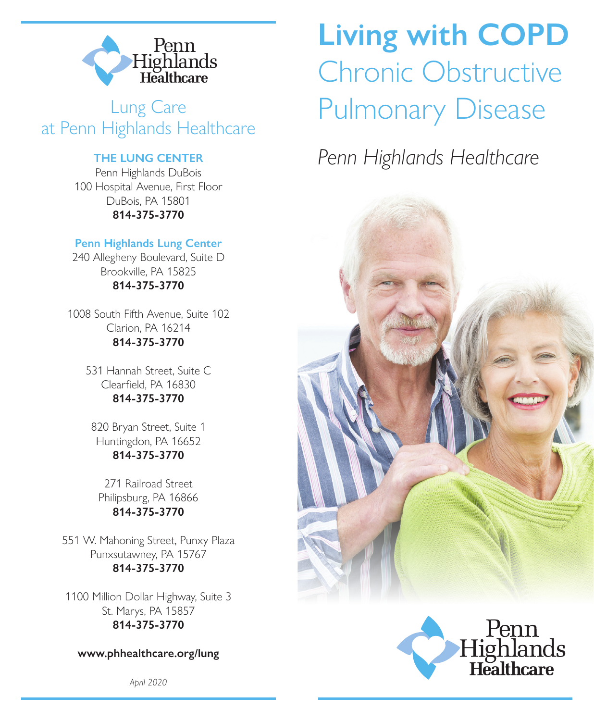

Lung Care at Penn Highlands Healthcare

#### **THE LUNG CENTER**

Penn Highlands DuBois 100 Hospital Avenue, First Floor DuBois, PA 15801 **814-375-3770**

#### **Penn Highlands Lung Center**

240 Allegheny Boulevard, Suite D Brookville, PA 15825 **814-375-3770**

1008 South Fifth Avenue, Suite 102 Clarion, PA 16214 **814-375-3770**

> 531 Hannah Street, Suite C Clearfield, PA 16830 **814-375-3770**

820 Bryan Street, Suite 1 Huntingdon, PA 16652 **814-375-3770** 

271 Railroad Street Philipsburg, PA 16866 **814-375-3770**

551 W. Mahoning Street, Punxy Plaza Punxsutawney, PA 15767 **814-375-3770**

1100 Million Dollar Highway, Suite 3 St. Marys, PA 15857 **814-375-3770**

**www.phhealthcare.org/lung**

*April 2020*

# **Living with COPD** Chronic Obstructive Pulmonary Disease

# *Penn Highlands Healthcare*